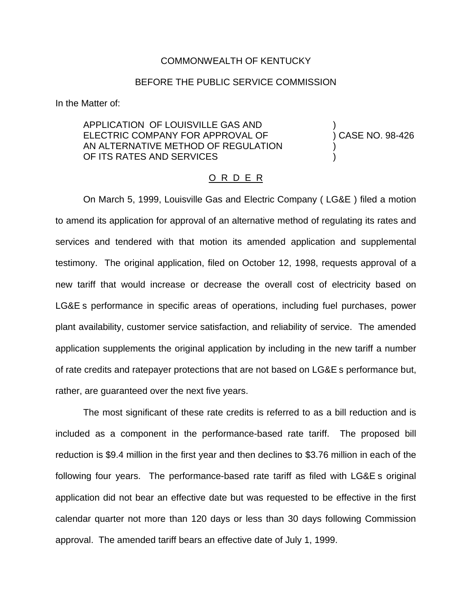## COMMONWEALTH OF KENTUCKY

### BEFORE THE PUBLIC SERVICE COMMISSION

In the Matter of:

APPLICATION OF LOUISVILLE GAS AND ) ELECTRIC COMPANY FOR APPROVAL OF (38-426) AN ALTERNATIVE METHOD OF REGULATION OF ITS RATES AND SERVICES

#### O R D E R

On March 5, 1999, Louisville Gas and Electric Company ( LG&E ) filed a motion to amend its application for approval of an alternative method of regulating its rates and services and tendered with that motion its amended application and supplemental testimony. The original application, filed on October 12, 1998, requests approval of a new tariff that would increase or decrease the overall cost of electricity based on LG&E s performance in specific areas of operations, including fuel purchases, power plant availability, customer service satisfaction, and reliability of service. The amended application supplements the original application by including in the new tariff a number of rate credits and ratepayer protections that are not based on LG&E s performance but, rather, are guaranteed over the next five years.

The most significant of these rate credits is referred to as a bill reduction and is included as a component in the performance-based rate tariff. The proposed bill reduction is \$9.4 million in the first year and then declines to \$3.76 million in each of the following four years. The performance-based rate tariff as filed with LG&E s original application did not bear an effective date but was requested to be effective in the first calendar quarter not more than 120 days or less than 30 days following Commission approval. The amended tariff bears an effective date of July 1, 1999.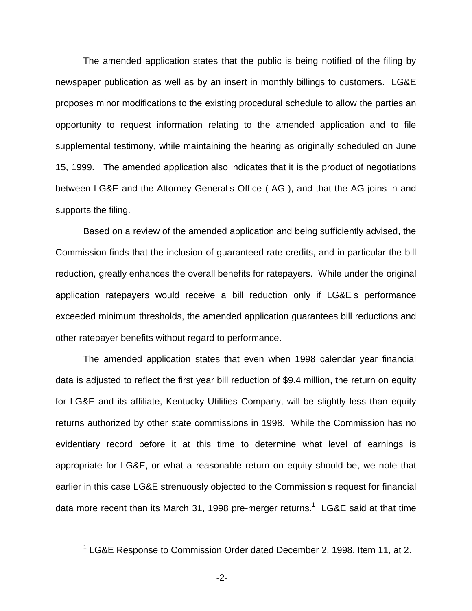The amended application states that the public is being notified of the filing by newspaper publication as well as by an insert in monthly billings to customers. LG&E proposes minor modifications to the existing procedural schedule to allow the parties an opportunity to request information relating to the amended application and to file supplemental testimony, while maintaining the hearing as originally scheduled on June 15, 1999. The amended application also indicates that it is the product of negotiations between LG&E and the Attorney General s Office ( AG ), and that the AG joins in and supports the filing.

Based on a review of the amended application and being sufficiently advised, the Commission finds that the inclusion of guaranteed rate credits, and in particular the bill reduction, greatly enhances the overall benefits for ratepayers. While under the original application ratepayers would receive a bill reduction only if LG&E s performance exceeded minimum thresholds, the amended application guarantees bill reductions and other ratepayer benefits without regard to performance.

The amended application states that even when 1998 calendar year financial data is adjusted to reflect the first year bill reduction of \$9.4 million, the return on equity for LG&E and its affiliate, Kentucky Utilities Company, will be slightly less than equity returns authorized by other state commissions in 1998. While the Commission has no evidentiary record before it at this time to determine what level of earnings is appropriate for LG&E, or what a reasonable return on equity should be, we note that earlier in this case LG&E strenuously objected to the Commission s request for financial data more recent than its March 31, 1998 pre-merger returns.<sup>1</sup> LG&E said at that time

 $1$  LG&E Response to Commission Order dated December 2, 1998, Item 11, at 2.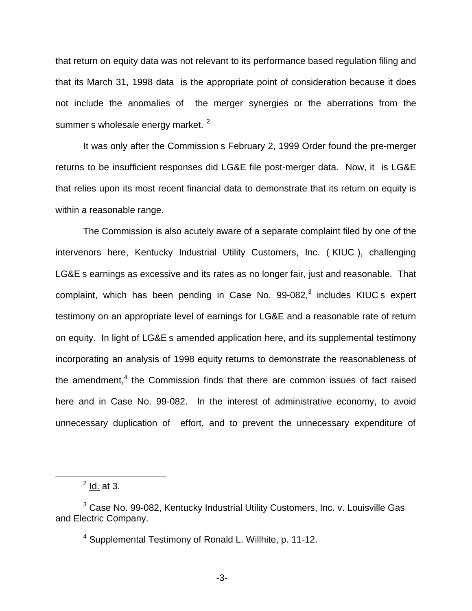that return on equity data was not relevant to its performance based regulation filing and that its March 31, 1998 data is the appropriate point of consideration because it does not include the anomalies of the merger synergies or the aberrations from the summer s wholesale energy market.<sup>2</sup>

It was only after the Commission s February 2, 1999 Order found the pre-merger returns to be insufficient responses did LG&E file post-merger data. Now, it is LG&E that relies upon its most recent financial data to demonstrate that its return on equity is within a reasonable range.

The Commission is also acutely aware of a separate complaint filed by one of the intervenors here, Kentucky Industrial Utility Customers, Inc. ( KIUC ), challenging LG&E s earnings as excessive and its rates as no longer fair, just and reasonable. That complaint, which has been pending in Case No.  $99-082$ , $3$  includes KIUC s expert testimony on an appropriate level of earnings for LG&E and a reasonable rate of return on equity. In light of LG&E s amended application here, and its supplemental testimony incorporating an analysis of 1998 equity returns to demonstrate the reasonableness of the amendment, $4$  the Commission finds that there are common issues of fact raised here and in Case No. 99-082. In the interest of administrative economy, to avoid unnecessary duplication of effort, and to prevent the unnecessary expenditure of

 $2$  <u>Id.</u> at 3.

<sup>&</sup>lt;sup>3</sup> Case No. 99-082, Kentucky Industrial Utility Customers, Inc. v. Louisville Gas and Electric Company.

<sup>4</sup> Supplemental Testimony of Ronald L. Willhite, p. 11-12.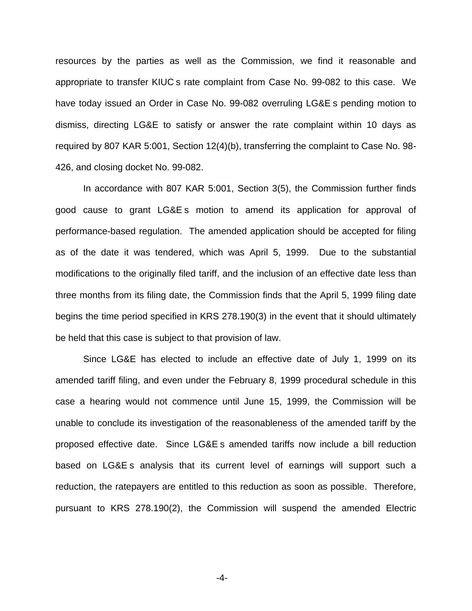resources by the parties as well as the Commission, we find it reasonable and appropriate to transfer KIUC s rate complaint from Case No. 99-082 to this case. We have today issued an Order in Case No. 99-082 overruling LG&E s pending motion to dismiss, directing LG&E to satisfy or answer the rate complaint within 10 days as required by 807 KAR 5:001, Section 12(4)(b), transferring the complaint to Case No. 98- 426, and closing docket No. 99-082.

In accordance with 807 KAR 5:001, Section 3(5), the Commission further finds good cause to grant LG&E s motion to amend its application for approval of performance-based regulation. The amended application should be accepted for filing as of the date it was tendered, which was April 5, 1999. Due to the substantial modifications to the originally filed tariff, and the inclusion of an effective date less than three months from its filing date, the Commission finds that the April 5, 1999 filing date begins the time period specified in KRS 278.190(3) in the event that it should ultimately be held that this case is subject to that provision of law.

Since LG&E has elected to include an effective date of July 1, 1999 on its amended tariff filing, and even under the February 8, 1999 procedural schedule in this case a hearing would not commence until June 15, 1999, the Commission will be unable to conclude its investigation of the reasonableness of the amended tariff by the proposed effective date. Since LG&E s amended tariffs now include a bill reduction based on LG&E s analysis that its current level of earnings will support such a reduction, the ratepayers are entitled to this reduction as soon as possible. Therefore, pursuant to KRS 278.190(2), the Commission will suspend the amended Electric

-4-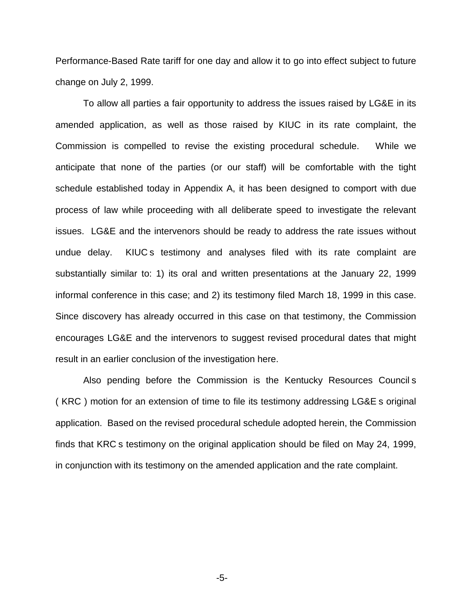Performance-Based Rate tariff for one day and allow it to go into effect subject to future change on July 2, 1999.

To allow all parties a fair opportunity to address the issues raised by LG&E in its amended application, as well as those raised by KIUC in its rate complaint, the Commission is compelled to revise the existing procedural schedule. While we anticipate that none of the parties (or our staff) will be comfortable with the tight schedule established today in Appendix A, it has been designed to comport with due process of law while proceeding with all deliberate speed to investigate the relevant issues. LG&E and the intervenors should be ready to address the rate issues without undue delay. KIUC s testimony and analyses filed with its rate complaint are substantially similar to: 1) its oral and written presentations at the January 22, 1999 informal conference in this case; and 2) its testimony filed March 18, 1999 in this case. Since discovery has already occurred in this case on that testimony, the Commission encourages LG&E and the intervenors to suggest revised procedural dates that might result in an earlier conclusion of the investigation here.

Also pending before the Commission is the Kentucky Resources Council s ( KRC ) motion for an extension of time to file its testimony addressing LG&E s original application. Based on the revised procedural schedule adopted herein, the Commission finds that KRC s testimony on the original application should be filed on May 24, 1999, in conjunction with its testimony on the amended application and the rate complaint.

-5-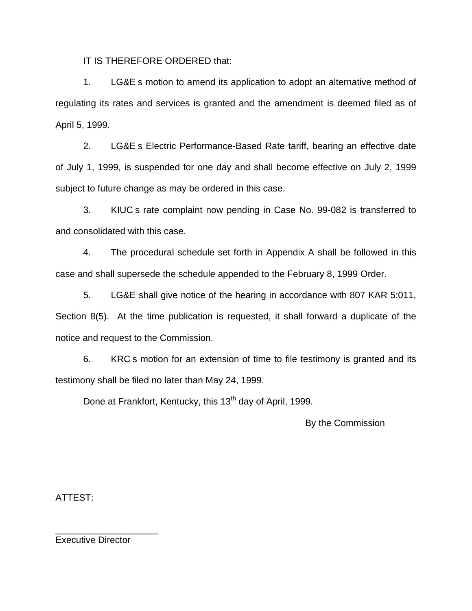IT IS THEREFORE ORDERED that:

1. LG&E s motion to amend its application to adopt an alternative method of regulating its rates and services is granted and the amendment is deemed filed as of April 5, 1999.

2. LG&E s Electric Performance-Based Rate tariff, bearing an effective date of July 1, 1999, is suspended for one day and shall become effective on July 2, 1999 subject to future change as may be ordered in this case.

3. KIUC s rate complaint now pending in Case No. 99-082 is transferred to and consolidated with this case.

4. The procedural schedule set forth in Appendix A shall be followed in this case and shall supersede the schedule appended to the February 8, 1999 Order.

5. LG&E shall give notice of the hearing in accordance with 807 KAR 5:011, Section 8(5). At the time publication is requested, it shall forward a duplicate of the notice and request to the Commission.

6. KRC s motion for an extension of time to file testimony is granted and its testimony shall be filed no later than May 24, 1999.

Done at Frankfort, Kentucky, this 13<sup>th</sup> day of April, 1999.

By the Commission

ATTEST:

Executive Director

\_\_\_\_\_\_\_\_\_\_\_\_\_\_\_\_\_\_\_\_